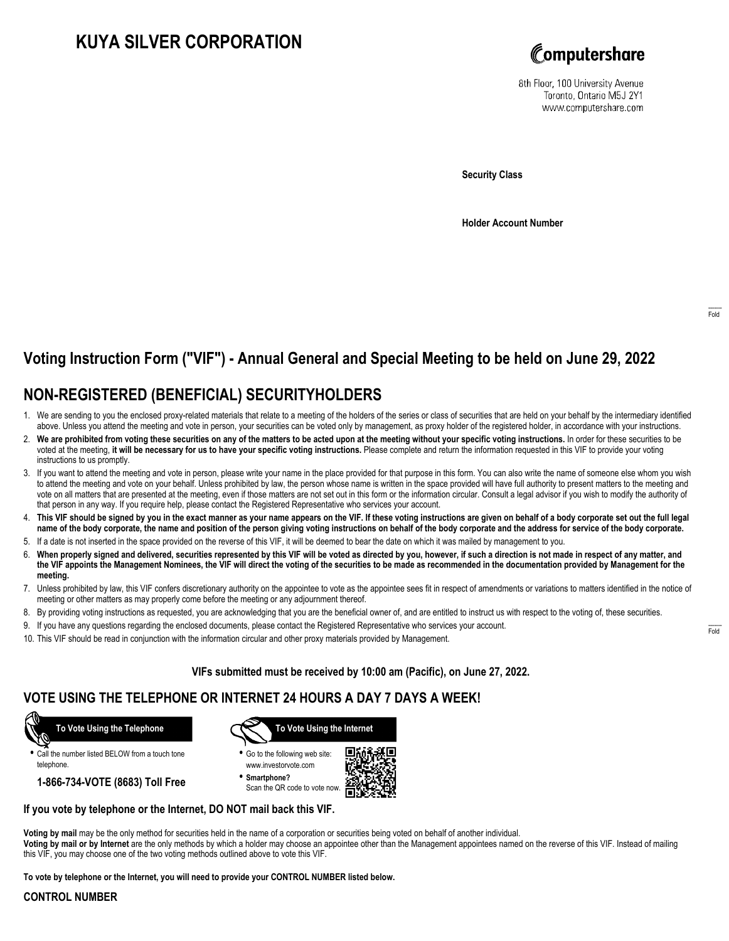# **KUYA SILVER CORPORATION**



8th Floor, 100 University Avenue Toronto, Ontario M5J 2Y1 www.computershare.com

**Security Class**

**Holder Account Number**

# **Voting Instruction Form ("VIF") - Annual General and Special Meeting to be held on June 29, 2022**

## **NON-REGISTERED (BENEFICIAL) SECURITYHOLDERS**

- 1. We are sending to you the enclosed proxy-related materials that relate to a meeting of the holders of the series or class of securities that are held on your behalf by the intermediary identified above. Unless you attend the meeting and vote in person, your securities can be voted only by management, as proxy holder of the registered holder, in accordance with your instructions.
- 2. **We are prohibited from voting these securities on any of the matters to be acted upon at the meeting without your specific voting instructions.** In order for these securities to be voted at the meeting, **it will be necessary for us to have your specific voting instructions.** Please complete and return the information requested in this VIF to provide your voting instructions to us promptly.
- 3. If you want to attend the meeting and vote in person, please write your name in the place provided for that purpose in this form. You can also write the name of someone else whom you wish to attend the meeting and vote on your behalf. Unless prohibited by law, the person whose name is written in the space provided will have full authority to present matters to the meeting and vote on all matters that are presented at the meeting, even if those matters are not set out in this form or the information circular. Consult a legal advisor if you wish to modify the authority of that person in any way. If you require help, please contact the Registered Representative who services your account.
- 4. **This VIF should be signed by you in the exact manner as your name appears on the VIF. If these voting instructions are given on behalf of a body corporate set out the full legal name of the body corporate, the name and position of the person giving voting instructions on behalf of the body corporate and the address for service of the body corporate.**
- 5. If a date is not inserted in the space provided on the reverse of this VIF, it will be deemed to bear the date on which it was mailed by management to you.
- 6. **When properly signed and delivered, securities represented by this VIF will be voted as directed by you, however, if such a direction is not made in respect of any matter, and the VIF appoints the Management Nominees, the VIF will direct the voting of the securities to be made as recommended in the documentation provided by Management for the meeting.**
- 7. Unless prohibited by law, this VIF confers discretionary authority on the appointee to vote as the appointee sees fit in respect of amendments or variations to matters identified in the notice of meeting or other matters as may properly come before the meeting or any adjournment thereof.
- 8. By providing voting instructions as requested, you are acknowledging that you are the beneficial owner of, and are entitled to instruct us with respect to the voting of, these securities.
- 9. If you have any questions regarding the enclosed documents, please contact the Registered Representative who services your account.
- 10. This VIF should be read in conjunction with the information circular and other proxy materials provided by Management.

**VIFs submitted must be received by 10:00 am (Pacific), on June 27, 2022.**

### **VOTE USING THE TELEPHONE OR INTERNET 24 HOURS A DAY 7 DAYS A WEEK!**



**•** Call the number listed BELOW from a touch tone telephone.

**1-866-734-VOTE (8683) Toll Free**



**•** Go to the following web site: www.investorvote.com

**• Smartphone?** Scan the QR code to vote now.



### **If you vote by telephone or the Internet, DO NOT mail back this VIF.**

**Voting by mail** may be the only method for securities held in the name of a corporation or securities being voted on behalf of another individual. **Voting by mail or by Internet** are the only methods by which a holder may choose an appointee other than the Management appointees named on the reverse of this VIF. Instead of mailing this VIF, you may choose one of the two voting methods outlined above to vote this VIF.

**To vote by telephone or the Internet, you will need to provide your CONTROL NUMBER listed below.**

#### **CONTROL NUMBER**